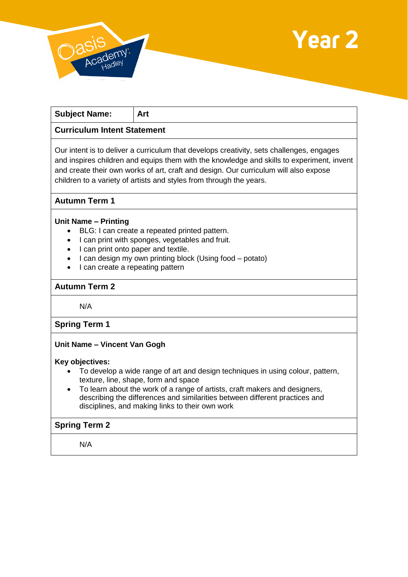



| <b>Subject Name:</b>               | Art |
|------------------------------------|-----|
| <b>Curriculum Intent Statement</b> |     |

Our intent is to deliver a curriculum that develops creativity, sets challenges, engages and inspires children and equips them with the knowledge and skills to experiment, invent and create their own works of art, craft and design. Our curriculum will also expose children to a variety of artists and styles from through the years.

## **Autumn Term 1**

#### **Unit Name – Printing**

- BLG: I can create a repeated printed pattern.
- I can print with sponges, vegetables and fruit.
- I can print onto paper and textile.
- I can design my own printing block (Using food potato)
- I can create a repeating pattern

# **Autumn Term 2**

N/A

#### **Spring Term 1**

## **Unit Name – Vincent Van Gogh**

#### **Key objectives:**

- To develop a wide range of art and design techniques in using colour, pattern, texture, line, shape, form and space
- To learn about the work of a range of artists, craft makers and designers, describing the differences and similarities between different practices and disciplines, and making links to their own work

### **Spring Term 2**

N/A